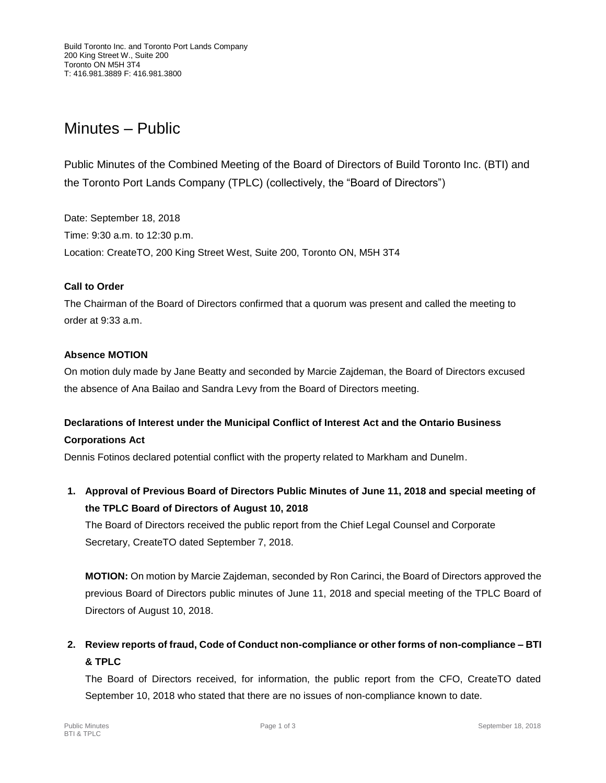# Minutes – Public

Public Minutes of the Combined Meeting of the Board of Directors of Build Toronto Inc. (BTI) and the Toronto Port Lands Company (TPLC) (collectively, the "Board of Directors")

Date: September 18, 2018 Time: 9:30 a.m. to 12:30 p.m. Location: CreateTO, 200 King Street West, Suite 200, Toronto ON, M5H 3T4

# **Call to Order**

The Chairman of the Board of Directors confirmed that a quorum was present and called the meeting to order at 9:33 a.m.

# **Absence MOTION**

On motion duly made by Jane Beatty and seconded by Marcie Zajdeman, the Board of Directors excused the absence of Ana Bailao and Sandra Levy from the Board of Directors meeting.

# **Declarations of Interest under the Municipal Conflict of Interest Act and the Ontario Business Corporations Act**

Dennis Fotinos declared potential conflict with the property related to Markham and Dunelm.

**1. Approval of Previous Board of Directors Public Minutes of June 11, 2018 and special meeting of the TPLC Board of Directors of August 10, 2018**

The Board of Directors received the public report from the Chief Legal Counsel and Corporate Secretary, CreateTO dated September 7, 2018.

**MOTION:** On motion by Marcie Zajdeman, seconded by Ron Carinci, the Board of Directors approved the previous Board of Directors public minutes of June 11, 2018 and special meeting of the TPLC Board of Directors of August 10, 2018.

**2. Review reports of fraud, Code of Conduct non-compliance or other forms of non-compliance – BTI & TPLC**

The Board of Directors received, for information, the public report from the CFO, CreateTO dated September 10, 2018 who stated that there are no issues of non-compliance known to date.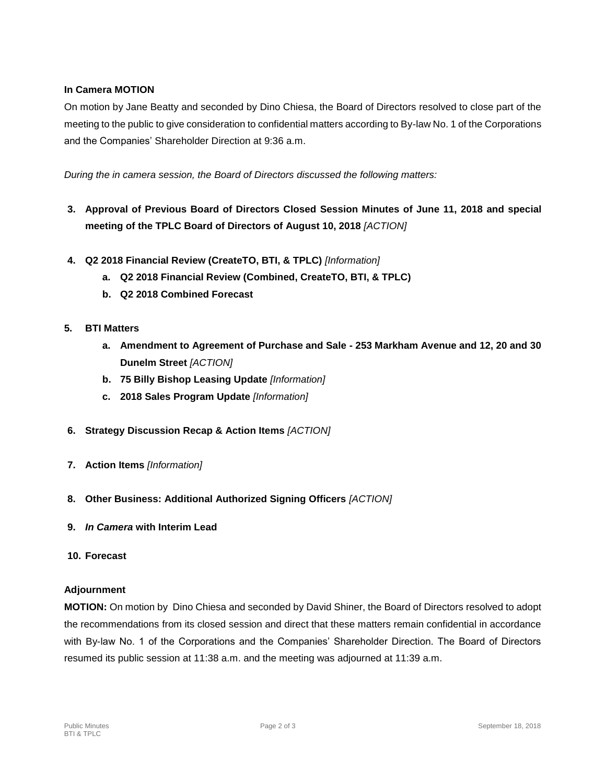# **In Camera MOTION**

On motion by Jane Beatty and seconded by Dino Chiesa, the Board of Directors resolved to close part of the meeting to the public to give consideration to confidential matters according to By-law No. 1 of the Corporations and the Companies' Shareholder Direction at 9:36 a.m.

*During the in camera session, the Board of Directors discussed the following matters:*

- **3. Approval of Previous Board of Directors Closed Session Minutes of June 11, 2018 and special meeting of the TPLC Board of Directors of August 10, 2018** *[ACTION]*
- **4. Q2 2018 Financial Review (CreateTO, BTI, & TPLC)** *[Information]*
	- **a. Q2 2018 Financial Review (Combined, CreateTO, BTI, & TPLC)**
	- **b. Q2 2018 Combined Forecast**

#### **5. BTI Matters**

- **a. Amendment to Agreement of Purchase and Sale - 253 Markham Avenue and 12, 20 and 30 Dunelm Street** *[ACTION]*
- **b. 75 Billy Bishop Leasing Update** *[Information]*
- **c. 2018 Sales Program Update** *[Information]*
- **6. Strategy Discussion Recap & Action Items** *[ACTION]*
- **7. Action Items** *[Information]*
- **8. Other Business: Additional Authorized Signing Officers** *[ACTION]*
- **9.** *In Camera* **with Interim Lead**

#### **10. Forecast**

#### **Adjournment**

**MOTION:** On motion by Dino Chiesa and seconded by David Shiner, the Board of Directors resolved to adopt the recommendations from its closed session and direct that these matters remain confidential in accordance with By-law No. 1 of the Corporations and the Companies' Shareholder Direction. The Board of Directors resumed its public session at 11:38 a.m. and the meeting was adjourned at 11:39 a.m.